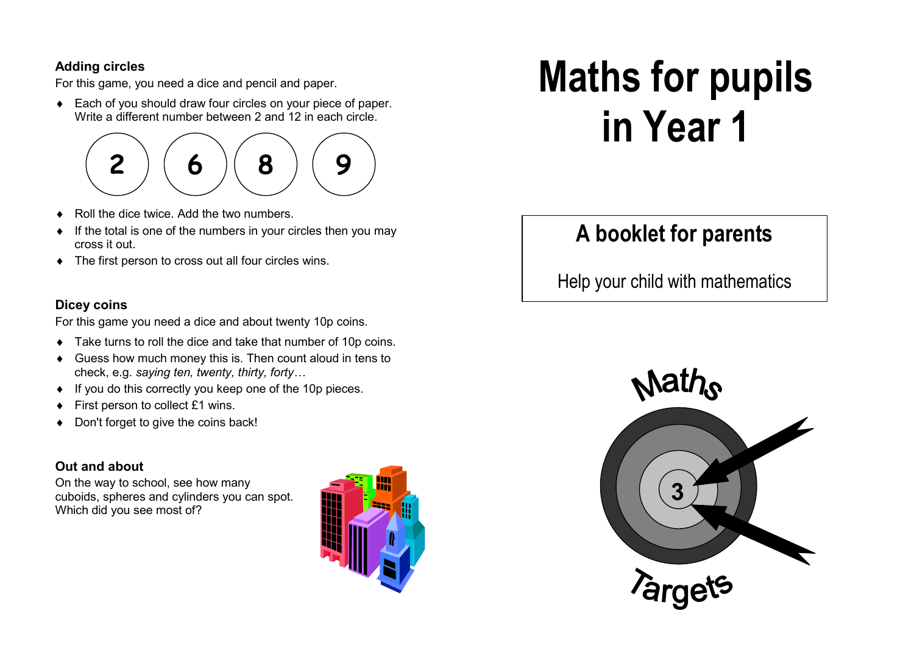#### **Adding circles**

For this game, you need a dice and pencil and paper.

Each of you should draw four circles on your piece of paper. Write a different number between 2 and 12 in each circle.

# **2<sup>6</sup> <sup>8</sup> <sup>9</sup>**

- Roll the dice twice. Add the two numbers.
- If the total is one of the numbers in your circles then you may cross it out.
- ♦ The first person to cross out all four circles wins.

### **Dicey coins**

For this game you need a dice and about twenty 10p coins.

- Take turns to roll the dice and take that number of 10p coins.
- ♦ Guess how much money this is. Then count aloud in tens to check, e.g. *saying ten, twenty, thirty, forty…*
- ♦ If you do this correctly you keep one of the 10p pieces.
- First person to collect £1 wins.
- ♦ Don't forget to give the coins back!

## **Out and about**

On the way to school, see how many cuboids, spheres and cylinders you can spot. Which did you see most of?



# **Maths for pupils in Year 1**

# **A booklet for parents**

Help your child with mathematics